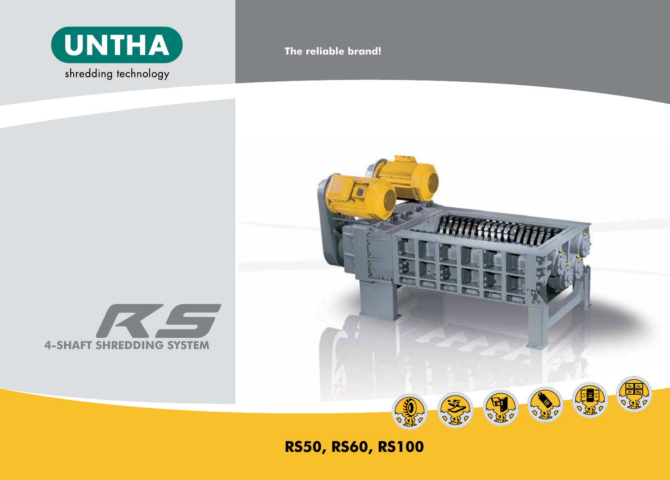

 **4-shaft shredding system**

**The reliable brand!**



**RS50, RS60, RS100**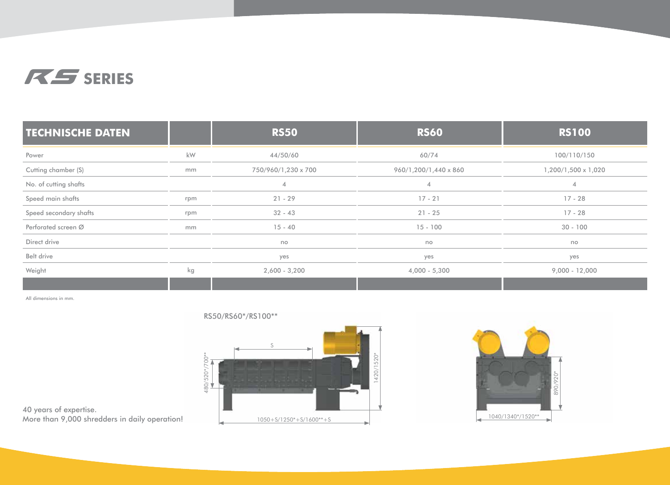

| <b>TECHNISCHE DATEN</b> |     | <b>RS50</b>         | <b>RS60</b>           | <b>RS100</b>        |
|-------------------------|-----|---------------------|-----------------------|---------------------|
| Power                   | kW  | 44/50/60            | 60/74                 | 100/110/150         |
| Cutting chamber (S)     | mm  | 750/960/1,230 x 700 | 960/1,200/1,440 x 860 | 1,200/1,500 x 1,020 |
| No. of cutting shafts   |     | 4                   | $\overline{4}$        | 4                   |
| Speed main shafts       | rpm | $21 - 29$           | $17 - 21$             | $17 - 28$           |
| Speed secondary shafts  | rpm | $32 - 43$           | $21 - 25$             | $17 - 28$           |
| Perforated screen Ø     | mm  | $15 - 40$           | $15 - 100$            | $30 - 100$          |
| Direct drive            |     | no                  | no                    | no                  |
| Belt drive              |     | yes                 | yes                   | yes                 |
| Weight                  | kg  | $2,600 - 3,200$     | $4,000 - 5,300$       | $9,000 - 12,000$    |
|                         |     |                     |                       |                     |

All dimensions in mm.





40 years of expertise. More than 9,000 shredders in daily operation!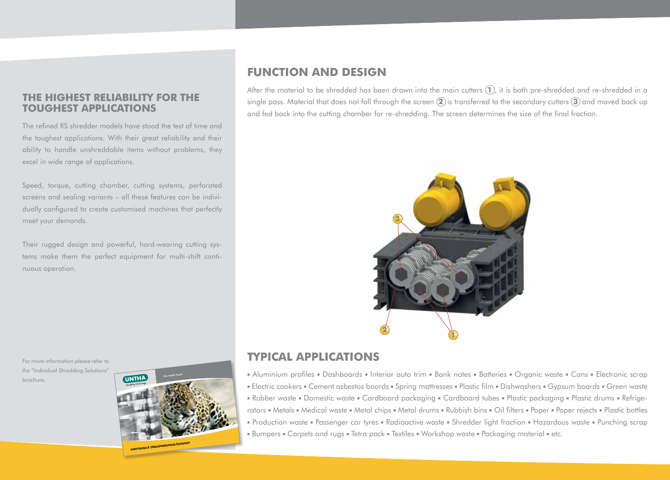## **THE HIGHEST RELIABILITY FOR THE TOUGHEST APPLICATIONS**

The refined RS shredder models have stood the test of time and the toughest applications. With their great reliability and their ability to handle unshreddable items without problems, they excel in wide range of applications.

Speed, torque, cutting chamber, cutting systems, perforated screens and sealing variants – all these features can be individually configured to create customised machines that perfectly meet your demands.

Their rugged design and powerful, hard-wearing cutting systems make them the perfect equipment for multi-shift continuous operation.

For more information please refer to the "Individual Shredding Solutions" brochure.



# **FUNCTION AND DESIGN**

After the material to be shredded has been drawn into the main cutters  $(1)$ , it is both pre-shredded and re-shredded in a single pass. Material that does not fall through the screen **2** is transferred to the secondary cutters **3** and moved back up and fed back into the cutting chamber for re-shredding. The screen determines the size of the final fraction.



# **TYPICAL APPLICATIONS**

- **•** Aluminium profiles **•** Dashboards **•** Interior auto trim **•** Bank notes **•** Batteries **•** Organic waste **•** Cans **•** Electronic scrap
- **•** Electric cookers **•** Cement asbestos boards **•** Spring mattresses **•** Plastic film **•** Dishwashers **•** Gypsum boards **•** Green waste
- **•** Rubber waste **•** Domestic waste **•** Cardboard packaging **•** Cardboard tubes **•** Plastic packaging **•** Plastic drums **•** Refrigerators **•** Metals **•** Medical waste **•** Metal chips **•** Metal drums **•** Rubbish bins **•** Oil filters **•** Paper **•** Paper rejects **•** Plastic bottles **•** Production waste **•** Passenger car tyres **•** Radioactive waste **•** Shredder light fraction **•** Hazardous waste **•** Punching scrap **•** Bumpers **•** Carpets and rugs **•** Tetra pack **•** Textiles **•** Workshop waste **•** Packaging material **•** etc.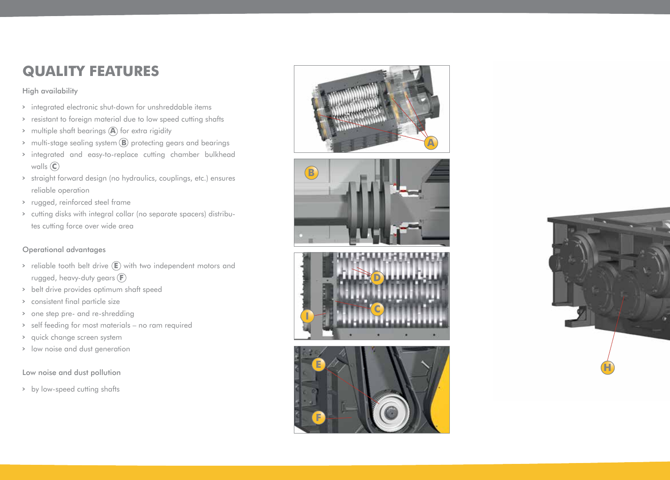# **QU ALITY F E ATURES**

#### High availability

- **>** integrated electronic shut-down for unshreddable items
- **>** resistant to foreign material due to low speed cutting shafts
- **>** multiple shaft bearings **A** for extra rigidity
- **>** multi-stage sealing system **B** protecting gears and bearings
- **>** integrated and easy-to-replace cutting chamber bulkhead walls **C**
- **>** straight forward design (no hydraulics, couplings, etc.) ensures reliable operation
- **>** rugged, reinforced steel frame
- **>** cutting disks with integral collar (no separate spacers) distribu tes cutting force over wide area

### Operational advantages

- **>** reliable tooth belt drive **E** with two independent motors and rugged, heavy-duty gears **F**
- **>** belt drive provides optimum shaft speed
- **>** consistent final particle size
- **>** one step pre- and re-shredding
- **>** self feeding for most materials no ram required
- **>** quick change screen system
- **>** low noise and dust generation

#### Low noise and dust pollution

**>** by low-speed cutting shafts









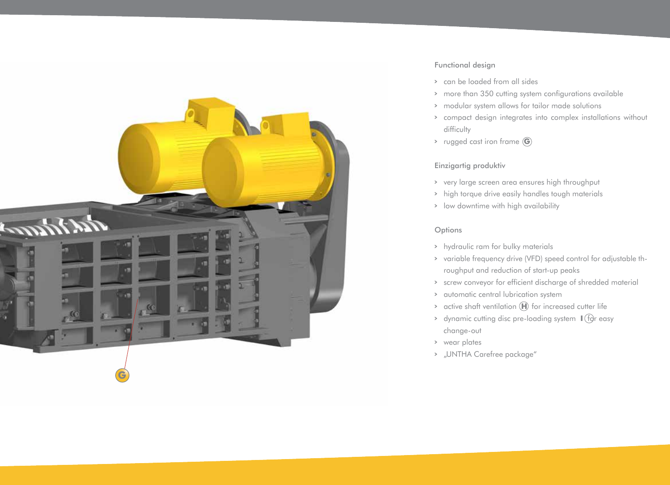

#### Functional design

- **>** can be loaded from all sides
- **>** more than 350 cutting system configurations available
- **>** modular system allows for tailor made solutions
- **>** compact design integrates into complex installations without difficulty
- **>** rugged cast iron frame **G**

#### Einzigartig produktiv

- **>** very large screen area ensures high throughput
- **>** high torque drive easily handles tough materials
- **>** low downtime with high availability

#### Options

- **>** hydraulic ram for bulky materials
- **>** variable frequency drive (VFD) speed control for adjustable th roughput and reduction of start-up peaks
- **>** screw conveyor for efficient discharge of shredded material
- **>** automatic central lubrication system
- **>** active shaft ventilation **H** for increased cutter life
- > dynamic cutting disc pre-loading system  $\mathbb{I}$  (for easy change-out
- **>** wear plates
- **>** "UNTHA Carefree package"